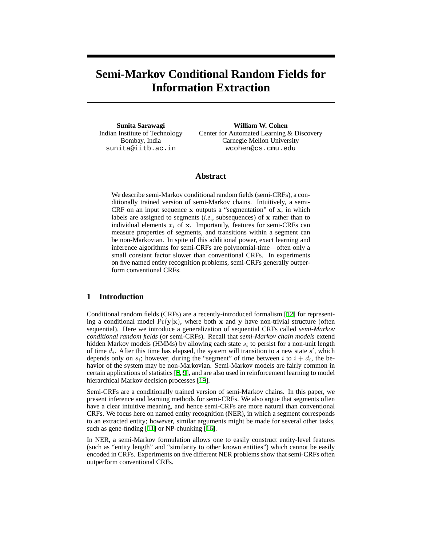# **Semi-Markov Conditional Random Fields for Information Extraction**

**Sunita Sarawagi** Indian Institute of Technology Bombay, India sunita@iitb.ac.in

**William W. Cohen** Center for Automated Learning & Discovery Carnegie Mellon University wcohen@cs.cmu.edu

## **Abstract**

We describe semi-Markov conditional random fields (semi-CRFs), a conditionally trained version of semi-Markov chains. Intuitively, a semi-CRF on an input sequence  $x$  outputs a "segmentation" of  $x$ , in which labels are assigned to segments *(i.e.*, subsequences) of x rather than to individual elements  $x_i$  of x. Importantly, features for semi-CRFs can measure properties of segments, and transitions within a segment can be non-Markovian. In spite of this additional power, exact learning and inference algorithms for semi-CRFs are polynomial-time—often only a small constant factor slower than conventional CRFs. In experiments on five named entity recognition problems, semi-CRFs generally outperform conventional CRFs.

## **1 Introduction**

Conditional random fields (CRFs) are a recently-introduced formalism [[12\]](#page-7-0) for representing a conditional model  $Pr(y|x)$ , where both x and y have non-trivial structure (often sequential). Here we introduce a generalization of sequential CRFs called *semi-Markov conditional random fields* (or semi-CRFs). Recall that *semi-Markov chain models* extend hidden Markov models (HMMs) by allowing each state  $s_i$  to persist for a non-unit length of time  $d_i$ . After this time has elapsed, the system will transition to a new state  $s'$ , which depends only on  $s_i$ ; however, during the "segment" of time between i to  $i + d_i$ , the behavior of the system may be non-Markovian. Semi-Markov models are fairly common in certain applications of statistics [[8,](#page-7-1) [9\]](#page-7-2), and are also used in reinforcement learning to model hierarchical Markov decision processes [[19\]](#page-7-3).

Semi-CRFs are a conditionally trained version of semi-Markov chains. In this paper, we present inference and learning methods for semi-CRFs. We also argue that segments often have a clear intuitive meaning, and hence semi-CRFs are more natural than conventional CRFs. We focus here on named entity recognition (NER), in which a segment corresponds to an extracted entity; however, similar arguments might be made for several other tasks, such as gene-finding [[11\]](#page-7-4) or NP-chunking [\[16](#page-7-5)].

In NER, a semi-Markov formulation allows one to easily construct entity-level features (such as "entity length" and "similarity to other known entities") which cannot be easily encoded in CRFs. Experiments on five different NER problems show that semi-CRFs often outperform conventional CRFs.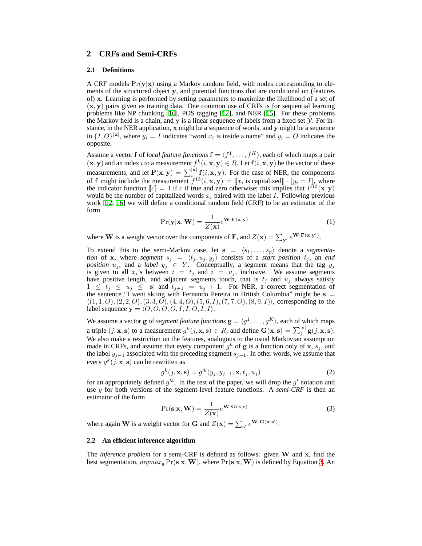## **2 CRFs and Semi-CRFs**

#### **2.1 Definitions**

A CRF models  $Pr(y|x)$  using a Markov random field, with nodes corresponding to elements of the structured object y, and potential functions that are conditional on (features of) x. Learning is performed by setting parameters to maximize the likelihood of a set of  $(x, y)$  pairs given as training data. One common use of CRFs is for sequential learning problems like NP chunking [[16\]](#page-7-5), POS tagging [\[12](#page-7-0)], and NER [\[15](#page-7-6)]. For these problems the Markov field is a chain, and  $y$  is a linear sequence of labels from a fixed set  $\mathcal{Y}$ . For instance, in the NER application, x might be a sequence of words, and y might be a sequence in  $\{I, O\}^{|x|}$ , where  $y_i = I$  indicates "word  $x_i$  is inside a name" and  $y_i = O$  indicates the opposite.

Assume a vector f of *local feature functions*  $f = \langle f^1, \ldots, f^K \rangle$ , each of which maps a pair  $(x, y)$  and an index i to a measurement  $f^k(i, x, y) \in R$ . Let  $f(i, x, y)$  be the vector of these measurements, and let  $F(x, y) = \sum_{i=1}^{|x|} f(i, x, y)$ . For the case of NER, the components of f might include the measurement  $f^{13}(i, \mathbf{x}, \mathbf{y}) = [x_i \text{ is capitalized}] \cdot [y_i = I]$ , where the indicator function  $\llbracket c \rrbracket = 1$  if c if true and zero otherwise; this implies that  $F^{\dagger 3}(\mathbf{x}, \mathbf{y})$ would be the number of capitalized words  $x_i$  paired with the label I. Following previous work [[12,](#page-7-0) [16\]](#page-7-5) we will define a conditional random field (CRF) to be an estimator of the form

$$
\Pr(\mathbf{y}|\mathbf{x}, \mathbf{W}) = \frac{1}{Z(\mathbf{x})} e^{\mathbf{W} \cdot \mathbf{F}(\mathbf{x}, \mathbf{y})}
$$
(1)

where **W** is a weight vector over the components of **F**, and  $Z(\mathbf{x}) = \sum_{\mathbf{y}'} e^{\mathbf{W} \cdot \mathbf{F}(\mathbf{x}, \mathbf{y}')}$ .

To extend this to the semi-Markov case, let  $s = \langle s_1, \ldots, s_p \rangle$  denote a *segmentation* of x, where *segment*  $s_j = \langle t_j, u_j, y_j \rangle$  consists of a *start position*  $t_j$ , an *end position*  $u_j$ , and a *label*  $y_j \in Y$ . Conceptually, a segment means that the tag  $y_j$ is given to all  $x_i$ 's between  $i = t_j$  and  $i = u_j$ , inclusive. We assume segments have positive length, and adjacent segments touch, that is  $t_j$  and  $u_j$  always satisfy  $1 \leq t_j \leq u_j \leq |\mathbf{s}|$  and  $t_{j+1} = u_j + 1$ . For NER, a correct segmentation of the sentence "I went skiing with Fernando Pereira in British Columbia" might be s =  $\langle (1, 1, O), (2, 2, O), (3, 3, \tilde{O}), (4, 4, O), (5, 6, I), (7, 7, O), (8, 9, I) \rangle$ , corresponding to the label sequence  $y = \langle O, O, O, O, I, I, O, I, I \rangle$ .

We assume a vector **g** of *segment feature functions*  $\mathbf{g} = \langle g^1, \dots, g^K \rangle$ , each of which maps a triple  $(j, \mathbf{x}, \mathbf{s})$  to a measurement  $g^k(j, \mathbf{x}, \mathbf{s}) \in R$ , and define  $\mathbf{G}(\mathbf{x}, \mathbf{s}) = \sum_{j}^{|\mathbf{s}|} \mathbf{g}(j, \mathbf{x}, \mathbf{s})$ . We also make a restriction on the features, analogous to the usual Markovian assumption made in CRFs, and assume that every component  $g^k$  of g is a function only of x,  $s_j$ , and the label  $y_{j-1}$  associated with the preceding segment  $s_{j-1}$ . In other words, we assume that every  $g^k(j, \mathbf{x}, \mathbf{s})$  can be rewritten as

<span id="page-1-1"></span>
$$
g^{k}(j, \mathbf{x}, \mathbf{s}) = g'^{k}(y_j, y_{j-1}, \mathbf{x}, t_j, u_j)
$$
\n(2)

for an appropriately defined  $g'^k$ . In the rest of the paper, we will drop the  $g'$  notation and use g for both versions of the segment-level feature functions. A *semi-CRF* is then an estimator of the form

<span id="page-1-0"></span>
$$
Pr(s|\mathbf{x}, \mathbf{W}) = \frac{1}{Z(\mathbf{x})} e^{\mathbf{W} \cdot \mathbf{G}(\mathbf{x}, \mathbf{s})}
$$
(3)

where again **W** is a weight vector for **G** and  $Z(\mathbf{x}) = \sum_{s'} e^{\mathbf{W} \cdot \mathbf{G}(\mathbf{x}, s')}$ .

#### **2.2 An efficient inference algorithm**

The *inference problem* for a semi-CRF is defined as follows: given W and x, find the best segmentation,  $\text{argmax}_{s} \Pr(s|\mathbf{x}, \mathbf{W})$ , where  $\Pr(s|\mathbf{x}, \mathbf{W})$  is defined by Equation [3](#page-1-0). An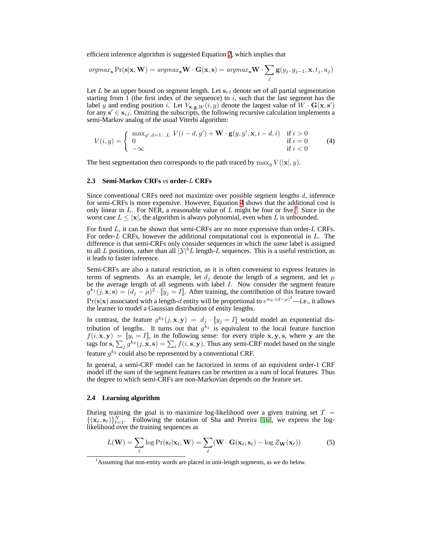efficient inference algorithm is suggested Equation [2](#page-1-1), which implies that

$$
argmax_{\mathbf{s}} \Pr(\mathbf{s}|\mathbf{x}, \mathbf{W}) = argmax_{\mathbf{s}} \mathbf{W} \cdot \mathbf{G}(\mathbf{x}, \mathbf{s}) = argmax_{\mathbf{s}} \mathbf{W} \cdot \sum_{j} \mathbf{g}(y_j, y_{j-1}, \mathbf{x}, t_j, u_j)
$$

Let  $L$  be an upper bound on segment length. Let  $s_{i:l}$  denote set of all partial segmentation starting from 1 (the first index of the sequence) to  $i$ , such that the last segment has the label y and ending position i. Let  $V_{\mathbf{x},\mathbf{g},W}(i, y)$  denote the largest value of  $W \cdot \mathbf{G}(\mathbf{x}, \mathbf{s}')$ for any  $s' \in s_{i:l}$ . Omitting the subscripts, the following recursive calculation implements a semi-Markov analog of the usual Viterbi algorithm:

<span id="page-2-0"></span>
$$
V(i,y) = \begin{cases} \max_{y',d=1...L} V(i-d,y') + \mathbf{W} \cdot \mathbf{g}(y,y',\mathbf{x},i-d,i) & \text{if } i > 0\\ 0 & \text{if } i = 0\\ -\infty & \text{if } i < 0 \end{cases} \tag{4}
$$

The best segmentation then corresponds to the path traced by  $\max_{y} V(|\mathbf{x}|, y)$ .

#### **2.3 Semi-Markov CRFs** *vs* **order-**L **CRFs**

Since conventional CRFs need not maximize over possible segment lengths  $d$ , inference for semi-CRFs is more expensive. However, Equation [4](#page-2-0) shows that the additional cost is only linear in L. For NER, a reasonable value of L might be four or five.<sup>[1](#page-2-1)</sup> Since in the worst case  $L \leq |\mathbf{x}|$ , the algorithm is always polynomial, even when L is unbounded.

For fixed  $L$ , it can be shown that semi-CRFs are no more expressive than order- $L$  CRFs. For order-L CRFs, however the additional computational cost is exponential in L. The difference is that semi-CRFs only consider sequences in which the *same* label is assigned to all L positions, rather than all  $|y|^b L$  length-L sequences. This is a useful restriction, as it leads to faster inference.

Semi-CRFs are also a natural restriction, as it is often convenient to express features in terms of segments. As an example, let  $d_j$  denote the length of a segment, and let  $\mu$ be the average length of all segments with label I. Now consider the segment feature  $g^{k_1}(j,\mathbf{x},\mathbf{s}) = (d_j - \mu)^2 \cdot [y_j = I]$ . After training, the contribution of this feature toward  $Pr(s|x)$  associated with a length-d entity will be proportional to  $e^{w_k \cdot (d-\mu)^2}$ —i.e., it allows the learner to model a Gaussian distribution of entity lengths.

In contrast, the feature  $g^{k_2}(j, \mathbf{x}, \mathbf{y}) = d_j \cdot [y_j = I]$  would model an exponential distribution of lengths. It turns out that  $g^{k_2}$  is equivalent to the local feature function  $f(i, \mathbf{x}, \mathbf{y}) = [y_i = I]$ , in the following sense: for every triple  $\mathbf{x}, \mathbf{y}, \mathbf{s}$ , where y are the tags for s,  $\sum_j g^{k_2}(j, \mathbf{x}, \mathbf{s}) = \sum_i f(i, \mathbf{s}, \mathbf{y})$ . Thus any semi-CRF model based on the single feature  $g^{k_2}$  could also be represented by a conventional CRF.

In general, a semi-CRF model can be factorized in terms of an equivalent order-1 CRF model iff the sum of the segment features can be rewritten as a sum of local features. Thus the degree to which semi-CRFs are non-Markovian depends on the feature set.

### **2.4 Learning algorithm**

During training the goal is to maximize log-likelihood over a given training set  $T =$  $\{(\mathbf{x}_{\ell}, \mathbf{s}_{\ell})\}_{\ell=1}^N$ . Following the notation of Sha and Pereira [[16\]](#page-7-5), we express the loglikelihood over the training sequences as

<span id="page-2-2"></span>
$$
L(\mathbf{W}) = \sum_{\ell} \log \Pr(\mathbf{s}_{\ell} | \mathbf{x}_{\ell}, \mathbf{W}) = \sum_{\ell} (\mathbf{W} \cdot \mathbf{G}(\mathbf{x}_{\ell}, \mathbf{s}_{\ell}) - \log Z_{\mathbf{W}}(\mathbf{x}_{\ell}))
$$
(5)

<span id="page-2-1"></span><sup>&</sup>lt;sup>1</sup> Assuming that non-entity words are placed in unit-length segments, as we do below.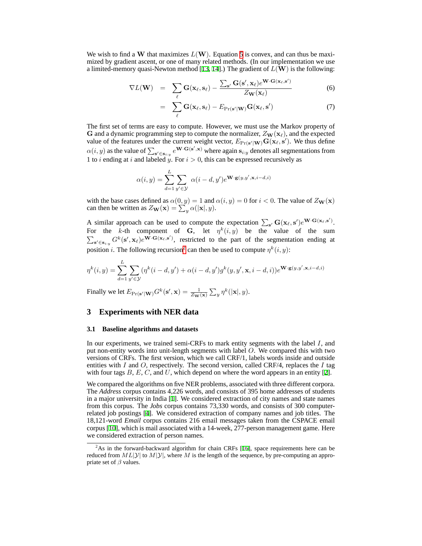We wish to find a W that maximizes  $L(W)$ . Equation [5](#page-2-2) is convex, and can thus be maximized by gradient ascent, or one of many related methods. (In our implementation we use a limited-memory quasi-Newton method [[13,](#page-7-7) [14\]](#page-7-8).) The gradient of  $L(\mathbf{W})$  is the following:

$$
\nabla L(\mathbf{W}) = \sum_{\ell} \mathbf{G}(\mathbf{x}_{\ell}, \mathbf{s}_{\ell}) - \frac{\sum_{\mathbf{s}'} \mathbf{G}(\mathbf{s}', \mathbf{x}_{\ell}) e^{\mathbf{W} \cdot \mathbf{G}(\mathbf{x}_{\ell}, \mathbf{s}')}}{Z_{\mathbf{W}}(\mathbf{x}_{\ell})}
$$
(6)

$$
= \sum_{\ell} \mathbf{G}(\mathbf{x}_{\ell}, \mathbf{s}_{\ell}) - E_{\text{Pr}(\mathbf{s}'|\mathbf{W})} \mathbf{G}(\mathbf{x}_{\ell}, \mathbf{s}') \tag{7}
$$

The first set of terms are easy to compute. However, we must use the Markov property of G and a dynamic programming step to compute the normalizer,  $Z_{\mathbf{W}}(\mathbf{x}_{\ell})$ , and the expected value of the features under the current weight vector,  $E_{\text{Pr}(\mathbf{s}'|\mathbf{W})} \mathbf{G}(\mathbf{x}_\ell, \mathbf{s}')$ . We thus define  $\alpha(i, y)$  as the value of  $\sum_{s' \in s_{i:y}} e^{W \cdot G(s', x)}$  where again  $s_{i:y}$  denotes all segmentations from 1 to *i* ending at *i* and labeled y. For  $i > 0$ , this can be expressed recursively as

$$
\alpha(i, y) = \sum_{d=1}^{L} \sum_{y' \in \mathcal{Y}} \alpha(i - d, y') e^{\mathbf{W} \cdot \mathbf{g}(y, y', \mathbf{x}, i - d, i)}
$$

with the base cases defined as  $\alpha(0, y) = 1$  and  $\alpha(i, y) = 0$  for  $i < 0$ . The value of  $Z_{\mathbf{W}}(\mathbf{x})$ can then be written as  $Z_{\mathbf{W}}(\mathbf{x}) = \sum_{y}^{y} \alpha(|\mathbf{x}|, y)$ .

A similar approach can be used to compute the expectation  $\sum_{s'} G(x_\ell, s') e^{W \cdot G(x_\ell, s')}$ . For the k-th component of G, let  $\eta^k(i, y)$  be the value of the sum  $\sum_{s' \in s_{i,y}} G^k(s', x_\ell) e^{\mathbf{W} \cdot \mathbf{G}(\mathbf{x}_\ell, s')}$ , restricted to the part of the segmentation ending at position *i*. The following recursion<sup>[2](#page-3-0)</sup> can then be used to compute  $\eta^k(i, y)$ :

$$
\eta^k(i,y) = \sum_{d=1}^L \sum_{y' \in \mathcal{Y}} (\eta^k(i-d,y') + \alpha(i-d,y')g^k(y,y',\mathbf{x},i-d,i))e^{\mathbf{W} \cdot \mathbf{g}(y,y',\mathbf{x},i-d,i)}
$$

Finally we let  $E_{\Pr(\mathbf{s}'|\mathbf{W})} G^k(\mathbf{s}', \mathbf{x}) = \frac{1}{Z_{\mathbf{W}}(\mathbf{x})} \sum_y \eta^k(|\mathbf{x}|, y)$ .

## **3 Experiments with NER data**

#### **3.1 Baseline algorithms and datasets**

In our experiments, we trained semi-CRFs to mark entity segments with the label  $I$ , and put non-entity words into unit-length segments with label O. We compared this with two versions of CRFs. The first version, which we call CRF/1, labels words inside and outside entities with I and O, respectively. The second version, called CRF/4, replaces the I tag with four tags  $B, E, C$ , and U, which depend on where the word appears in an entity [[2\]](#page-7-9).

We compared the algorithms on five NER problems, associated with three different corpora. The *Address* corpus contains 4,226 words, and consists of 395 home addresses of students in a major university in India [\[1](#page-6-0)]. We considered extraction of city names and state names from this corpus. The *Jobs* corpus contains 73,330 words, and consists of 300 computerrelated job postings [\[4](#page-7-10)]. We considered extraction of company names and job titles. The 18,121-word *Email* corpus contains 216 email messages taken from the CSPACE email corpus [\[10\]](#page-7-11), which is mail associated with a 14-week, 277-person management game. Here we considered extraction of person names.

<span id="page-3-0"></span> $2$ As in the forward-backward algorithm for chain CRFs [\[16](#page-7-5)], space requirements here can be reduced from  $ML|y|$  to  $M|y|$ , where M is the length of the sequence, by pre-computing an appropriate set of  $\beta$  values.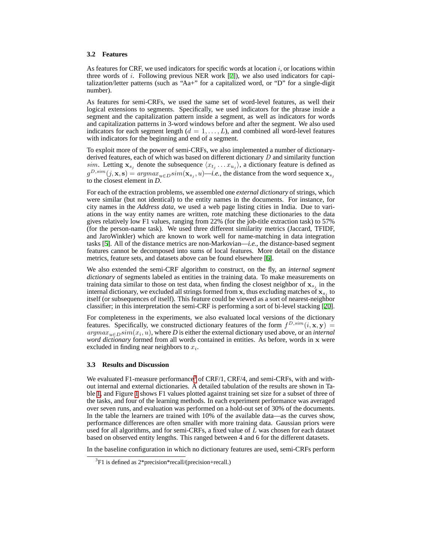#### **3.2 Features**

As features for CRF, we used indicators for specific words at location  $i$ , or locations within three words of  $i$ . Following previous NER work  $[7]$  $[7]$ , we also used indicators for capitalization/letter patterns (such as "Aa+" for a capitalized word, or "D" for a single-digit number).

As features for semi-CRFs, we used the same set of word-level features, as well their logical extensions to segments. Specifically, we used indicators for the phrase inside a segment and the capitalization pattern inside a segment, as well as indicators for words and capitalization patterns in 3-word windows before and after the segment. We also used indicators for each segment length  $(d = 1, \ldots, L)$ , and combined all word-level features with indicators for the beginning and end of a segment.

To exploit more of the power of semi-CRFs, we also implemented a number of dictionaryderived features, each of which was based on different dictionary  $D$  and similarity function sim. Letting  $\mathbf{x}_{s_j}$  denote the subsequence  $\langle x_{t_j} \dots x_{u_j} \rangle$ , a dictionary feature is defined as  $g^{D,sim}(j, \mathbf{x}, \mathbf{s}) = argmax_{u \in D} sim(\mathbf{x}_{s_j}, u)$ —*i.e.*, the distance from the word sequence  $\mathbf{x}_{s_j}$ to the closest element in *D*.

For each of the extraction problems, we assembled one *external dictionary* of strings, which were similar (but not identical) to the entity names in the documents. For instance, for city names in the *Address data*, we used a web page listing cities in India. Due to variations in the way entity names are written, rote matching these dictionaries to the data gives relatively low F1 values, ranging from 22% (for the job-title extraction task) to 57% (for the person-name task). We used three different similarity metrics (Jaccard, TFIDF, and JaroWinkler) which are known to work well for name-matching in data integration tasks [[5\]](#page-7-13). All of the distance metrics are non-Markovian—*i.e.*, the distance-based segment features cannot be decomposed into sums of local features. More detail on the distance metrics, feature sets, and datasets above can be found elsewhere [[6\]](#page-7-14).

We also extended the semi-CRF algorithm to construct, on the fly, an *internal segment dictionary* of segments labeled as entities in the training data. To make measurements on training data similar to those on test data, when finding the closest neighbor of  $x_{s_j}$  in the internal dictionary, we excluded all strings formed from x, thus excluding matches of  $x_{s_j}$  to itself (or subsequences of itself). This feature could be viewed as a sort of nearest-neighbor classifier; in this interpretation the semi-CRF is performing a sort of bi-level stacking [\[20](#page-7-15)].

For completeness in the experiments, we also evaluated local versions of the dictionary features. Specifically, we constructed dictionary features of the form  $f^{D,sim}(i, x, y) =$  $argmax_{u \in D} sim(x_i, u)$ , where *D* is either the external dictionary used above, or an *internal word dictionary* formed from all words contained in entities. As before, words in x were excluded in finding near neighbors to  $x_i$ .

#### **3.3 Results and Discussion**

We evaluated F1-measure performance<sup>[3](#page-4-0)</sup> of CRF/1, CRF/4, and semi-CRFs, with and without internal and external dictionaries. A detailed tabulation of the results are shown in Table [1,](#page-5-0) and Figure [1](#page-5-1) shows F1 values plotted against training set size for a subset of three of the tasks, and four of the learning methods. In each experiment performance was averaged over seven runs, and evaluation was performed on a hold-out set of 30% of the documents. In the table the learners are trained with 10% of the available data—as the curves show, performance differences are often smaller with more training data. Gaussian priors were used for all algorithms, and for semi-CRFs, a fixed value of  $L$  was chosen for each dataset based on observed entity lengths. This ranged between 4 and 6 for the different datasets.

In the baseline configuration in which no dictionary features are used, semi-CRFs perform

<span id="page-4-0"></span><sup>3</sup> F1 is defined as 2\*precision\*recall/(precision+recall.)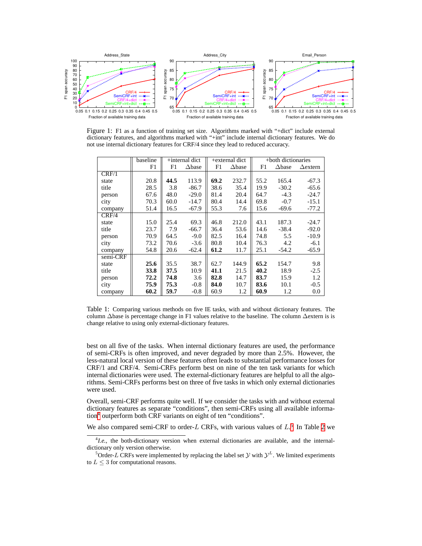

Figure 1: F1 as a function of training set size. Algorithms marked with "+dict" include external dictionary features, and algorithms marked with "+int" include internal dictionary features. We do not use internal dictionary features for CRF/4 since they lead to reduced accuracy.

<span id="page-5-1"></span>

|          | baseline | $+$ internal dict |                  | +external dict |                  | +both dictionaries |                  |                 |
|----------|----------|-------------------|------------------|----------------|------------------|--------------------|------------------|-----------------|
|          | F1       | F1                | $\triangle$ base | F1             | $\triangle$ base | F1                 | $\triangle$ base | $\Delta$ extern |
| CRF/1    |          |                   |                  |                |                  |                    |                  |                 |
| state    | 20.8     | 44.5              | 113.9            | 69.2           | 232.7            | 55.2               | 165.4            | $-67.3$         |
| title    | 28.5     | 3.8               | $-86.7$          | 38.6           | 35.4             | 19.9               | $-30.2$          | $-65.6$         |
| person   | 67.6     | 48.0              | $-29.0$          | 81.4           | 20.4             | 64.7               | $-4.3$           | $-24.7$         |
| city     | 70.3     | 60.0              | $-14.7$          | 80.4           | 14.4             | 69.8               | $-0.7$           | $-15.1$         |
| company  | 51.4     | 16.5              | $-67.9$          | 55.3           | 7.6              | 15.6               | $-69.6$          | $-77.2$         |
| CRF/4    |          |                   |                  |                |                  |                    |                  |                 |
| state    | 15.0     | 25.4              | 69.3             | 46.8           | 212.0            | 43.1               | 187.3            | $-24.7$         |
| title    | 23.7     | 7.9               | $-66.7$          | 36.4           | 53.6             | 14.6               | $-38.4$          | $-92.0$         |
| person   | 70.9     | 64.5              | $-9.0$           | 82.5           | 16.4             | 74.8               | 5.5              | $-10.9$         |
| city     | 73.2     | 70.6              | $-3.6$           | 80.8           | 10.4             | 76.3               | 4.2              | $-6.1$          |
| company  | 54.8     | 20.6              | $-62.4$          | 61.2           | 11.7             | 25.1               | $-54.2$          | $-65.9$         |
| semi-CRF |          |                   |                  |                |                  |                    |                  |                 |
| state    | 25.6     | 35.5              | 38.7             | 62.7           | 144.9            | 65.2               | 154.7            | 9.8             |
| title    | 33.8     | 37.5              | 10.9             | 41.1           | 21.5             | 40.2               | 18.9             | $-2.5$          |
| person   | 72.2     | 74.8              | 3.6              | 82.8           | 14.7             | 83.7               | 15.9             | 1.2             |
| city     | 75.9     | 75.3              | $-0.8$           | 84.0           | 10.7             | 83.6               | 10.1             | $-0.5$          |
| company  | 60.2     | 59.7              | $-0.8$           | 60.9           | 1.2              | 60.9               | 1.2              | 0.0             |

<span id="page-5-0"></span>Table 1: Comparing various methods on five IE tasks, with and without dictionary features. The column ∆base is percentage change in F1 values relative to the baseline. The column ∆extern is is change relative to using only external-dictionary features.

best on all five of the tasks. When internal dictionary features are used, the performance of semi-CRFs is often improved, and never degraded by more than 2.5%. However, the less-natural local version of these features often leads to substantial performance losses for CRF/1 and CRF/4. Semi-CRFs perform best on nine of the ten task variants for which internal dictionaries were used. The external-dictionary features are helpful to all the algorithms. Semi-CRFs performs best on three of five tasks in which only external dictionaries were used.

Overall, semi-CRF performs quite well. If we consider the tasks with and without external dictionary features as separate "conditions", then semi-CRFs using all available information[4](#page-5-2) outperform both CRF variants on eight of ten "conditions".

We also compared semi-CRF to order- $L$  CRFs, with various values of  $L<sup>5</sup>$  $L<sup>5</sup>$  $L<sup>5</sup>$  In Table [2](#page-6-1) we

<span id="page-5-2"></span><sup>&</sup>lt;sup>4</sup>I.e., the both-dictionary version when external dictionaries are available, and the internaldictionary only version otherwise.

<span id="page-5-3"></span><sup>&</sup>lt;sup>5</sup>Order-L CRFs were implemented by replacing the label set  $\mathcal Y$  with  $\mathcal Y^L$ . We limited experiments to  $L \leq 3$  for computational reasons.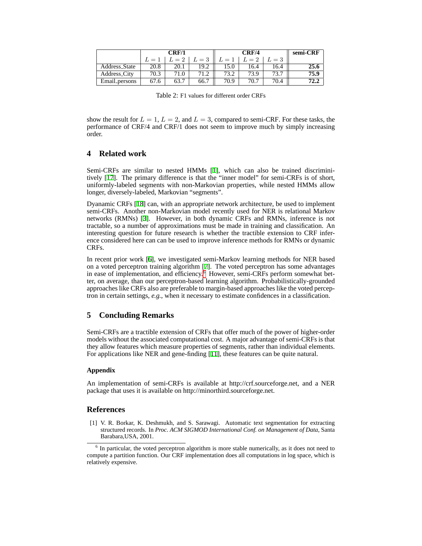|                     |       | CRF/1 |       |      | semi-CRF |            |      |
|---------------------|-------|-------|-------|------|----------|------------|------|
|                     | $L=1$ | $L=2$ | $L=3$ | $=$  | $L=2$    | $\ell = 3$ |      |
| Address_State       | 20.8  | 20.1  | 19.2  | .5.0 | 16.4     | 16.4       |      |
| <b>Address City</b> | 70.3  |       |       | 73.2 | 73.9     |            | 75.9 |
| Email persons       | 67.6  |       | 66.7  | 70.9 | 70.7     | 70.4       |      |

<span id="page-6-1"></span>Table 2: F1 values for different order CRFs

show the result for  $L = 1$ ,  $L = 2$ , and  $L = 3$ , compared to semi-CRF. For these tasks, the performance of CRF/4 and CRF/1 does not seem to improve much by simply increasing order.

## **4 Related work**

Semi-CRFs are similar to nested HMMs [[1\]](#page-6-0), which can also be trained discriminitively [[17\]](#page-7-16). The primary difference is that the "inner model" for semi-CRFs is of short, uniformly-labeled segments with non-Markovian properties, while nested HMMs allow longer, diversely-labeled, Markovian "segments".

Dyanamic CRFs [\[18](#page-7-17)] can, with an appropriate network architecture, be used to implement semi-CRFs. Another non-Markovian model recently used for NER is relational Markov networks (RMNs) [\[3](#page-7-18)]. However, in both dynamic CRFs and RMNs, inference is not tractable, so a number of approximations must be made in training and classification. An interesting question for future research is whether the tractible extension to CRF inference considered here can can be used to improve inference methods for RMNs or dynamic CRFs.

In recent prior work [\[6](#page-7-14)], we investigated semi-Markov learning methods for NER based on a voted perceptron training algorithm [[7](#page-7-12)]. The voted perceptron has some advantages in ease of implementation, and efficiency.<sup>[6](#page-6-2)</sup> However, semi-CRFs perform somewhat better, on average, than our perceptron-based learning algorithm. Probabilistically-grounded approaches like CRFs also are preferable to margin-based approaches like the voted perceptron in certain settings, *e.g.*, when it necessary to estimate confidences in a classification.

# **5 Concluding Remarks**

Semi-CRFs are a tractible extension of CRFs that offer much of the power of higher-order models without the associated computational cost. A major advantage of semi-CRFs is that they allow features which measure properties of segments, rather than individual elements. For applications like NER and gene-finding [[11\]](#page-7-4), these features can be quite natural.

## **Appendix**

An implementation of semi-CRFs is available at http://crf.sourceforge.net, and a NER package that uses it is available on http://minorthird.sourceforge.net.

## **References**

<span id="page-6-0"></span>[1] V. R. Borkar, K. Deshmukh, and S. Sarawagi. Automatic text segmentation for extracting structured records. In *Proc. ACM SIGMOD International Conf. on Management of Data*, Santa Barabara,USA, 2001.

<span id="page-6-2"></span><sup>&</sup>lt;sup>6</sup> In particular, the voted perceptron algorithm is more stable numerically, as it does not need to compute a partition function. Our CRF implementation does all computations in log space, which is relatively expensive.